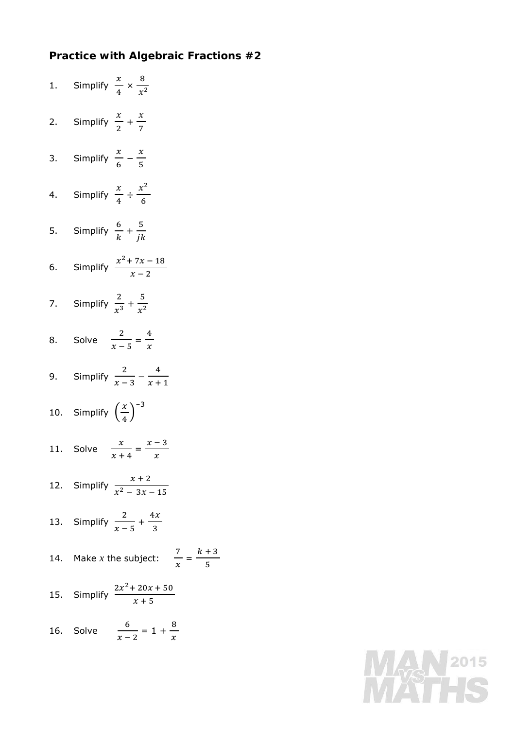## **Practice with Algebraic Fractions #2**

| 1. Simplify $\frac{x}{4} \times \frac{8}{x^2}$ |
|------------------------------------------------|
| 2. Simplify $\frac{x}{2} + \frac{x}{7}$        |
| 3. Simplify $\frac{x}{6} - \frac{x}{5}$        |
| 4. Simplify $\frac{x}{4} \div \frac{x^2}{6}$   |
| 5. Simplify $\frac{6}{k} + \frac{5}{ik}$       |
| 6. Simplify $\frac{x^2 + 7x - 18}{x - 2}$      |
| 7. Simplify $\frac{2}{x^3} + \frac{5}{x^2}$    |
| 8. Solve $\frac{2}{x-5} = \frac{4}{x}$         |
| 9. Simplify $\frac{2}{x-3} - \frac{4}{x+1}$    |
| 10. Simplify $\left(\frac{x}{4}\right)^{-3}$   |
| 11. Solve $\frac{x}{x+4} = \frac{x-3}{x}$      |
| 12. Simplify $\frac{x+2}{x^2-3x-15}$           |
| 13. Simplify $\frac{2}{x-5} + \frac{4x}{3}$    |
| 14. Make <i>x</i> the subject: $\frac{7}{x}$ = |
| 15. Simplify $\frac{2x^2 + 20x + 50}{x + 5}$   |
| 16. Solve $\frac{6}{x-2} = 1 + \frac{8}{x}$    |

 $k + 3$ ହ